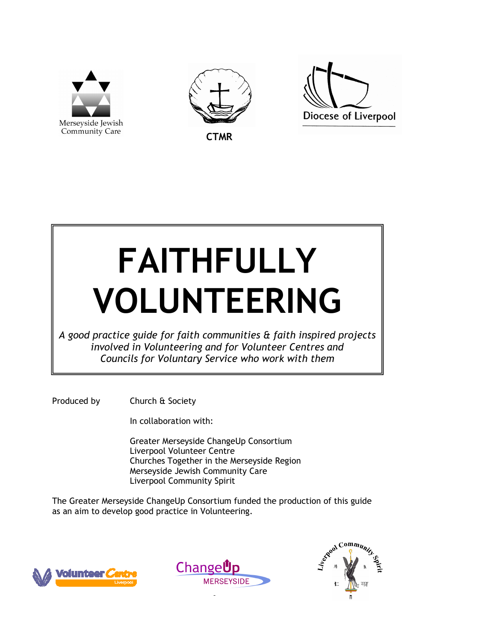





**CTMR** 

# FAITHFULLY VOLUNTEERING

A good practice guide for faith communities & faith inspired projects involved in Volunteering and for Volunteer Centres and Councils for Voluntary Service who work with them

Produced by Church & Society

In collaboration with:

 Greater Merseyside ChangeUp Consortium Liverpool Volunteer Centre Churches Together in the Merseyside Region Merseyside Jewish Community Care Liverpool Community Spirit

The Greater Merseyside ChangeUp Consortium funded the production of this guide as an aim to develop good practice in Volunteering.





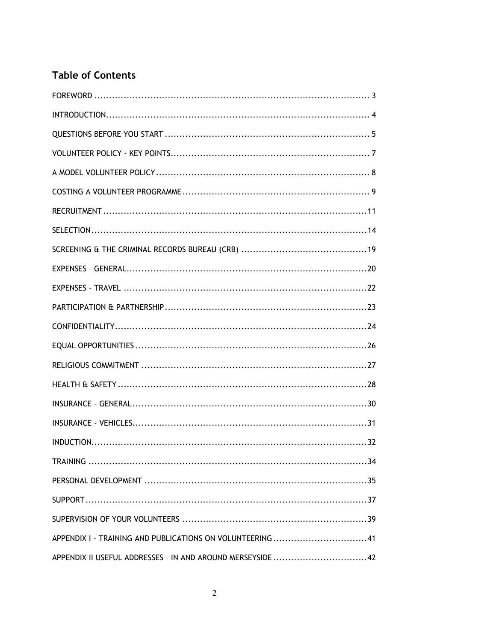# **Table of Contents**

| APPENDIX I - TRAINING AND PUBLICATIONS ON VOLUNTEERING 41   |
|-------------------------------------------------------------|
| APPENDIX II USEFUL ADDRESSES - IN AND AROUND MERSEYSIDE  42 |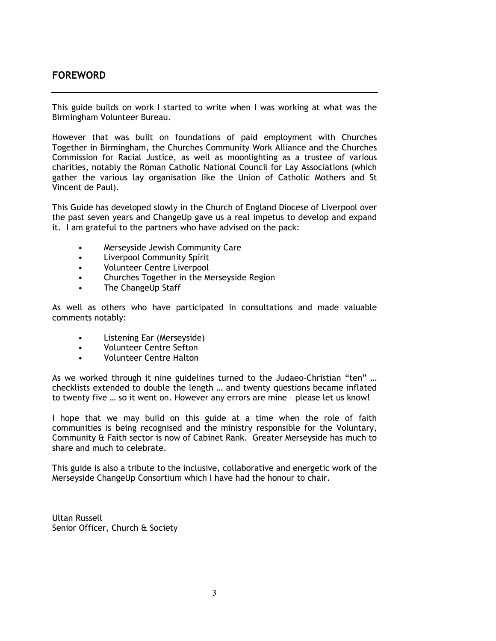# FOREWORD

This guide builds on work I started to write when I was working at what was the Birmingham Volunteer Bureau.

However that was built on foundations of paid employment with Churches Together in Birmingham, the Churches Community Work Alliance and the Churches Commission for Racial Justice, as well as moonlighting as a trustee of various charities, notably the Roman Catholic National Council for Lay Associations (which gather the various lay organisation like the Union of Catholic Mothers and St Vincent de Paul).

This Guide has developed slowly in the Church of England Diocese of Liverpool over the past seven years and ChangeUp gave us a real impetus to develop and expand it. I am grateful to the partners who have advised on the pack:

- Merseyside Jewish Community Care
- Liverpool Community Spirit
- Volunteer Centre Liverpool
- Churches Together in the Merseyside Region
- The ChangeUp Staff

As well as others who have participated in consultations and made valuable comments notably:

- Listening Ear (Merseyside)
- Volunteer Centre Sefton
- Volunteer Centre Halton

As we worked through it nine guidelines turned to the Judaeo-Christian "ten" … checklists extended to double the length … and twenty questions became inflated to twenty five … so it went on. However any errors are mine – please let us know!

I hope that we may build on this guide at a time when the role of faith communities is being recognised and the ministry responsible for the Voluntary, Community & Faith sector is now of Cabinet Rank. Greater Merseyside has much to share and much to celebrate.

This guide is also a tribute to the inclusive, collaborative and energetic work of the Merseyside ChangeUp Consortium which I have had the honour to chair.

Ultan Russell Senior Officer, Church & Society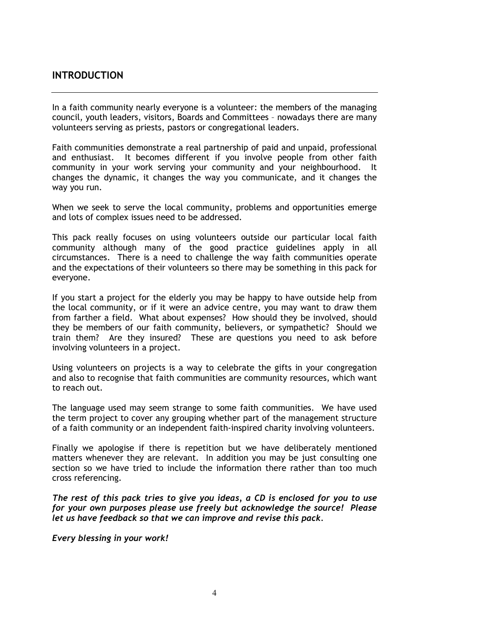## INTRODUCTION

In a faith community nearly everyone is a volunteer: the members of the managing council, youth leaders, visitors, Boards and Committees – nowadays there are many volunteers serving as priests, pastors or congregational leaders.

Faith communities demonstrate a real partnership of paid and unpaid, professional and enthusiast. It becomes different if you involve people from other faith community in your work serving your community and your neighbourhood. It changes the dynamic, it changes the way you communicate, and it changes the way you run.

When we seek to serve the local community, problems and opportunities emerge and lots of complex issues need to be addressed.

This pack really focuses on using volunteers outside our particular local faith community although many of the good practice guidelines apply in all circumstances. There is a need to challenge the way faith communities operate and the expectations of their volunteers so there may be something in this pack for everyone.

If you start a project for the elderly you may be happy to have outside help from the local community, or if it were an advice centre, you may want to draw them from farther a field. What about expenses? How should they be involved, should they be members of our faith community, believers, or sympathetic? Should we train them? Are they insured? These are questions you need to ask before involving volunteers in a project.

Using volunteers on projects is a way to celebrate the gifts in your congregation and also to recognise that faith communities are community resources, which want to reach out.

The language used may seem strange to some faith communities. We have used the term project to cover any grouping whether part of the management structure of a faith community or an independent faith-inspired charity involving volunteers.

Finally we apologise if there is repetition but we have deliberately mentioned matters whenever they are relevant. In addition you may be just consulting one section so we have tried to include the information there rather than too much cross referencing.

The rest of this pack tries to give you ideas, a CD is enclosed for you to use for your own purposes please use freely but acknowledge the source! Please let us have feedback so that we can improve and revise this pack.

Every blessing in your work!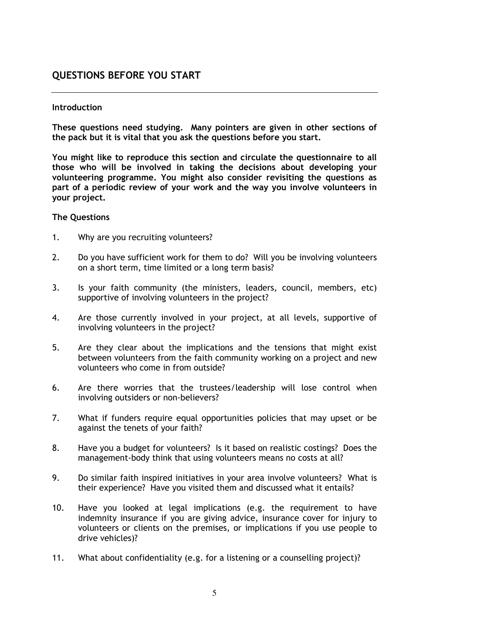# QUESTIONS BEFORE YOU START

#### **Introduction**

These questions need studying. Many pointers are given in other sections of the pack but it is vital that you ask the questions before you start.

You might like to reproduce this section and circulate the questionnaire to all those who will be involved in taking the decisions about developing your volunteering programme. You might also consider revisiting the questions as part of a periodic review of your work and the way you involve volunteers in your project.

#### The Questions

- 1. Why are you recruiting volunteers?
- 2. Do you have sufficient work for them to do? Will you be involving volunteers on a short term, time limited or a long term basis?
- 3. Is your faith community (the ministers, leaders, council, members, etc) supportive of involving volunteers in the project?
- 4. Are those currently involved in your project, at all levels, supportive of involving volunteers in the project?
- 5. Are they clear about the implications and the tensions that might exist between volunteers from the faith community working on a project and new volunteers who come in from outside?
- 6. Are there worries that the trustees/leadership will lose control when involving outsiders or non-believers?
- 7. What if funders require equal opportunities policies that may upset or be against the tenets of your faith?
- 8. Have you a budget for volunteers? Is it based on realistic costings? Does the management-body think that using volunteers means no costs at all?
- 9. Do similar faith inspired initiatives in your area involve volunteers? What is their experience? Have you visited them and discussed what it entails?
- 10. Have you looked at legal implications (e.g. the requirement to have indemnity insurance if you are giving advice, insurance cover for injury to volunteers or clients on the premises, or implications if you use people to drive vehicles)?
- 11. What about confidentiality (e.g. for a listening or a counselling project)?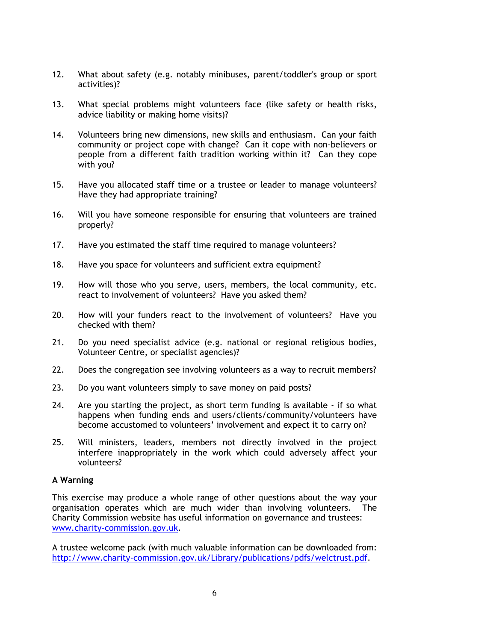- 12. What about safety (e.g. notably minibuses, parent/toddler's group or sport activities)?
- 13. What special problems might volunteers face (like safety or health risks, advice liability or making home visits)?
- 14. Volunteers bring new dimensions, new skills and enthusiasm. Can your faith community or project cope with change? Can it cope with non-believers or people from a different faith tradition working within it? Can they cope with you?
- 15. Have you allocated staff time or a trustee or leader to manage volunteers? Have they had appropriate training?
- 16. Will you have someone responsible for ensuring that volunteers are trained properly?
- 17. Have you estimated the staff time required to manage volunteers?
- 18. Have you space for volunteers and sufficient extra equipment?
- 19. How will those who you serve, users, members, the local community, etc. react to involvement of volunteers? Have you asked them?
- 20. How will your funders react to the involvement of volunteers? Have you checked with them?
- 21. Do you need specialist advice (e.g. national or regional religious bodies, Volunteer Centre, or specialist agencies)?
- 22. Does the congregation see involving volunteers as a way to recruit members?
- 23. Do you want volunteers simply to save money on paid posts?
- 24. Are you starting the project, as short term funding is available if so what happens when funding ends and users/clients/community/volunteers have become accustomed to volunteers' involvement and expect it to carry on?
- 25. Will ministers, leaders, members not directly involved in the project interfere inappropriately in the work which could adversely affect your volunteers?

#### A Warning

This exercise may produce a whole range of other questions about the way your organisation operates which are much wider than involving volunteers. The Charity Commission website has useful information on governance and trustees: www.charity-commission.gov.uk.

A trustee welcome pack (with much valuable information can be downloaded from: http://www.charity-commission.gov.uk/Library/publications/pdfs/welctrust.pdf.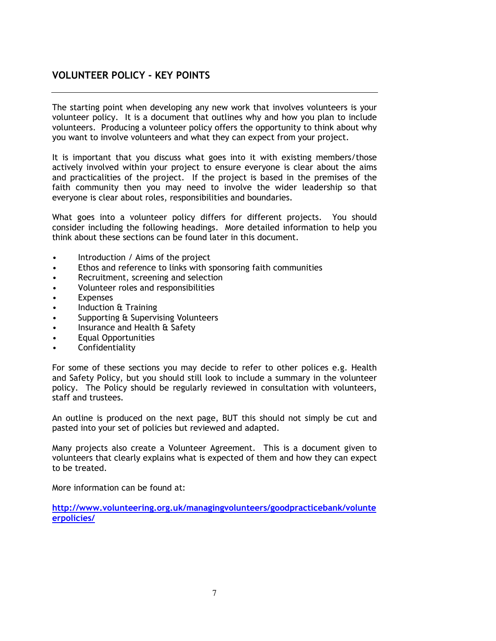# VOLUNTEER POLICY - KEY POINTS

The starting point when developing any new work that involves volunteers is your volunteer policy. It is a document that outlines why and how you plan to include volunteers. Producing a volunteer policy offers the opportunity to think about why you want to involve volunteers and what they can expect from your project.

It is important that you discuss what goes into it with existing members/those actively involved within your project to ensure everyone is clear about the aims and practicalities of the project. If the project is based in the premises of the faith community then you may need to involve the wider leadership so that everyone is clear about roles, responsibilities and boundaries.

What goes into a volunteer policy differs for different projects. You should consider including the following headings. More detailed information to help you think about these sections can be found later in this document.

- Introduction / Aims of the project
- Ethos and reference to links with sponsoring faith communities
- Recruitment, screening and selection
- Volunteer roles and responsibilities
- Expenses
- Induction & Training
- Supporting & Supervising Volunteers
- Insurance and Health & Safety
- Equal Opportunities
- **Confidentiality**

For some of these sections you may decide to refer to other polices e.g. Health and Safety Policy, but you should still look to include a summary in the volunteer policy. The Policy should be regularly reviewed in consultation with volunteers, staff and trustees.

An outline is produced on the next page, BUT this should not simply be cut and pasted into your set of policies but reviewed and adapted.

Many projects also create a Volunteer Agreement. This is a document given to volunteers that clearly explains what is expected of them and how they can expect to be treated.

More information can be found at:

http://www.volunteering.org.uk/managingvolunteers/goodpracticebank/volunte erpolicies/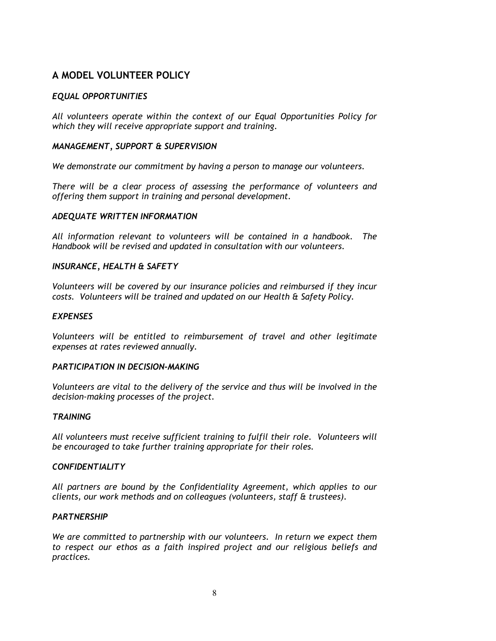# A MODEL VOLUNTEER POLICY

#### EQUAL OPPORTUNITIES

All volunteers operate within the context of our Equal Opportunities Policy for which they will receive appropriate support and training.

#### MANAGEMENT, SUPPORT & SUPERVISION

We demonstrate our commitment by having a person to manage our volunteers.

There will be a clear process of assessing the performance of volunteers and offering them support in training and personal development.

#### ADEQUATE WRITTEN INFORMATION

All information relevant to volunteers will be contained in a handbook. The Handbook will be revised and updated in consultation with our volunteers.

#### INSURANCE, HEALTH & SAFETY

Volunteers will be covered by our insurance policies and reimbursed if they incur costs. Volunteers will be trained and updated on our Health & Safety Policy.

#### **EXPENSES**

Volunteers will be entitled to reimbursement of travel and other legitimate expenses at rates reviewed annually.

#### PARTICIPATION IN DECISION-MAKING

Volunteers are vital to the delivery of the service and thus will be involved in the decision-making processes of the project.

#### **TRAINING**

All volunteers must receive sufficient training to fulfil their role. Volunteers will be encouraged to take further training appropriate for their roles.

#### **CONFIDENTIALITY**

All partners are bound by the Confidentiality Agreement, which applies to our clients, our work methods and on colleagues (volunteers, staff & trustees).

#### **PARTNERSHIP**

We are committed to partnership with our volunteers. In return we expect them to respect our ethos as a faith inspired project and our religious beliefs and practices.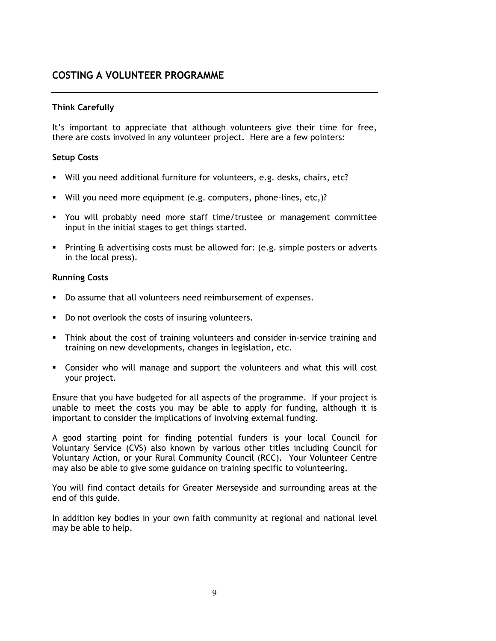# COSTING A VOLUNTEER PROGRAMME

#### Think Carefully

It's important to appreciate that although volunteers give their time for free, there are costs involved in any volunteer project. Here are a few pointers:

#### Setup Costs

- Will you need additional furniture for volunteers, e.g. desks, chairs, etc?
- Will you need more equipment (e.g. computers, phone-lines, etc,)?
- You will probably need more staff time/trustee or management committee input in the initial stages to get things started.
- Printing & advertising costs must be allowed for: (e.g. simple posters or adverts in the local press).

#### Running Costs

- Do assume that all volunteers need reimbursement of expenses.
- Do not overlook the costs of insuring volunteers.
- Think about the cost of training volunteers and consider in-service training and training on new developments, changes in legislation, etc.
- Consider who will manage and support the volunteers and what this will cost your project.

Ensure that you have budgeted for all aspects of the programme. If your project is unable to meet the costs you may be able to apply for funding, although it is important to consider the implications of involving external funding.

A good starting point for finding potential funders is your local Council for Voluntary Service (CVS) also known by various other titles including Council for Voluntary Action, or your Rural Community Council (RCC). Your Volunteer Centre may also be able to give some guidance on training specific to volunteering.

You will find contact details for Greater Merseyside and surrounding areas at the end of this guide.

In addition key bodies in your own faith community at regional and national level may be able to help.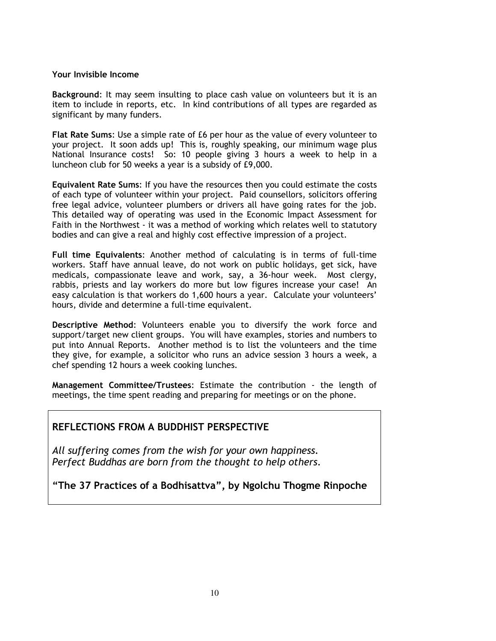#### Your Invisible Income

Background: It may seem insulting to place cash value on volunteers but it is an item to include in reports, etc. In kind contributions of all types are regarded as significant by many funders.

Flat Rate Sums: Use a simple rate of £6 per hour as the value of every volunteer to your project. It soon adds up! This is, roughly speaking, our minimum wage plus National Insurance costs! So: 10 people giving 3 hours a week to help in a luncheon club for 50 weeks a year is a subsidy of £9,000.

Equivalent Rate Sums: If you have the resources then you could estimate the costs of each type of volunteer within your project. Paid counsellors, solicitors offering free legal advice, volunteer plumbers or drivers all have going rates for the job. This detailed way of operating was used in the Economic Impact Assessment for Faith in the Northwest - it was a method of working which relates well to statutory bodies and can give a real and highly cost effective impression of a project.

Full time Equivalents: Another method of calculating is in terms of full-time workers. Staff have annual leave, do not work on public holidays, get sick, have medicals, compassionate leave and work, say, a 36-hour week. Most clergy, rabbis, priests and lay workers do more but low figures increase your case! An easy calculation is that workers do 1,600 hours a year. Calculate your volunteers' hours, divide and determine a full-time equivalent.

Descriptive Method: Volunteers enable you to diversify the work force and support/target new client groups. You will have examples, stories and numbers to put into Annual Reports. Another method is to list the volunteers and the time they give, for example, a solicitor who runs an advice session 3 hours a week, a chef spending 12 hours a week cooking lunches.

Management Committee/Trustees: Estimate the contribution - the length of meetings, the time spent reading and preparing for meetings or on the phone.

# REFLECTIONS FROM A BUDDHIST PERSPECTIVE

All suffering comes from the wish for your own happiness. Perfect Buddhas are born from the thought to help others.

"The 37 Practices of a Bodhisattva", by Ngolchu Thogme Rinpoche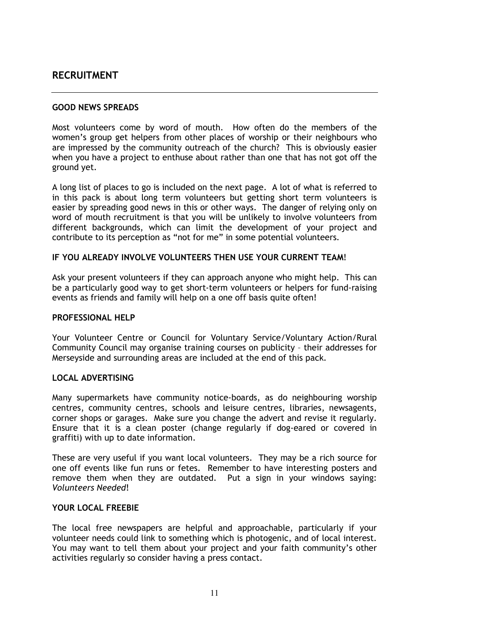# RECRUITMENT

#### GOOD NEWS SPREADS

Most volunteers come by word of mouth. How often do the members of the women's group get helpers from other places of worship or their neighbours who are impressed by the community outreach of the church? This is obviously easier when you have a project to enthuse about rather than one that has not got off the ground yet.

A long list of places to go is included on the next page. A lot of what is referred to in this pack is about long term volunteers but getting short term volunteers is easier by spreading good news in this or other ways. The danger of relying only on word of mouth recruitment is that you will be unlikely to involve volunteers from different backgrounds, which can limit the development of your project and contribute to its perception as "not for me" in some potential volunteers.

#### IF YOU ALREADY INVOLVE VOLUNTEERS THEN USE YOUR CURRENT TEAM!

Ask your present volunteers if they can approach anyone who might help. This can be a particularly good way to get short-term volunteers or helpers for fund-raising events as friends and family will help on a one off basis quite often!

#### PROFESSIONAL HELP

Your Volunteer Centre or Council for Voluntary Service/Voluntary Action/Rural Community Council may organise training courses on publicity – their addresses for Merseyside and surrounding areas are included at the end of this pack.

#### LOCAL ADVERTISING

Many supermarkets have community notice-boards, as do neighbouring worship centres, community centres, schools and leisure centres, libraries, newsagents, corner shops or garages. Make sure you change the advert and revise it regularly. Ensure that it is a clean poster (change regularly if dog-eared or covered in graffiti) with up to date information.

These are very useful if you want local volunteers. They may be a rich source for one off events like fun runs or fetes. Remember to have interesting posters and remove them when they are outdated. Put a sign in your windows saying: Volunteers Needed!

#### YOUR LOCAL FREEBIE

The local free newspapers are helpful and approachable, particularly if your volunteer needs could link to something which is photogenic, and of local interest. You may want to tell them about your project and your faith community's other activities regularly so consider having a press contact.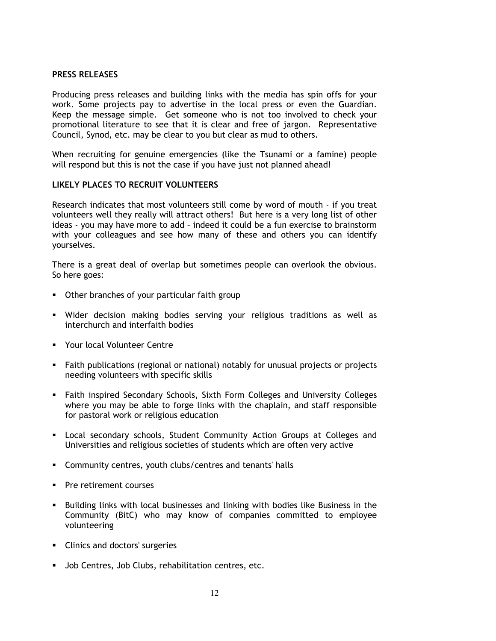#### PRESS RELEASES

Producing press releases and building links with the media has spin offs for your work. Some projects pay to advertise in the local press or even the Guardian. Keep the message simple. Get someone who is not too involved to check your promotional literature to see that it is clear and free of jargon. Representative Council, Synod, etc. may be clear to you but clear as mud to others.

When recruiting for genuine emergencies (like the Tsunami or a famine) people will respond but this is not the case if you have just not planned ahead!

#### LIKELY PLACES TO RECRUIT VOLUNTEERS

Research indicates that most volunteers still come by word of mouth - if you treat volunteers well they really will attract others! But here is a very long list of other ideas - you may have more to add – indeed it could be a fun exercise to brainstorm with your colleagues and see how many of these and others you can identify yourselves.

There is a great deal of overlap but sometimes people can overlook the obvious. So here goes:

- Other branches of your particular faith group
- Wider decision making bodies serving your religious traditions as well as interchurch and interfaith bodies
- Your local Volunteer Centre
- Faith publications (regional or national) notably for unusual projects or projects needing volunteers with specific skills
- Faith inspired Secondary Schools, Sixth Form Colleges and University Colleges where you may be able to forge links with the chaplain, and staff responsible for pastoral work or religious education
- Local secondary schools, Student Community Action Groups at Colleges and Universities and religious societies of students which are often very active
- Community centres, youth clubs/centres and tenants' halls
- Pre retirement courses
- Building links with local businesses and linking with bodies like Business in the Community (BitC) who may know of companies committed to employee volunteering
- **Clinics and doctors' surgeries**
- Job Centres, Job Clubs, rehabilitation centres, etc.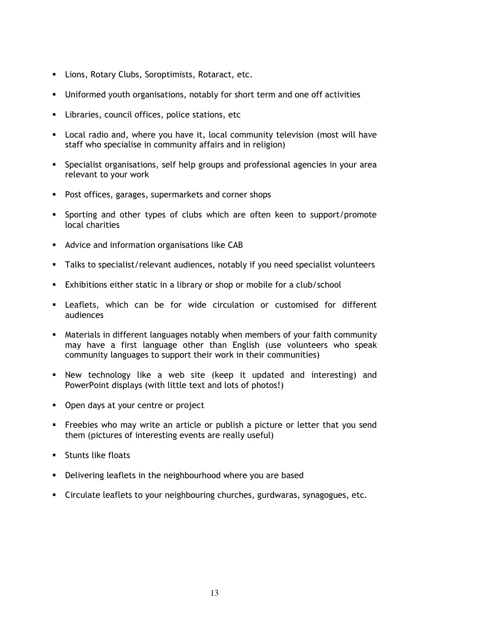- Lions, Rotary Clubs, Soroptimists, Rotaract, etc.
- Uniformed youth organisations, notably for short term and one off activities
- Libraries, council offices, police stations, etc
- Local radio and, where you have it, local community television (most will have staff who specialise in community affairs and in religion)
- Specialist organisations, self help groups and professional agencies in your area relevant to your work
- **Post offices, garages, supermarkets and corner shops**
- Sporting and other types of clubs which are often keen to support/promote local charities
- **Advice and information organisations like CAB**
- Talks to specialist/relevant audiences, notably if you need specialist volunteers
- Exhibitions either static in a library or shop or mobile for a club/school
- Leaflets, which can be for wide circulation or customised for different audiences
- Materials in different languages notably when members of your faith community may have a first language other than English (use volunteers who speak community languages to support their work in their communities)
- New technology like a web site (keep it updated and interesting) and PowerPoint displays (with little text and lots of photos!)
- Open days at your centre or project
- Freebies who may write an article or publish a picture or letter that you send them (pictures of interesting events are really useful)
- **Stunts like floats**
- **•** Delivering leaflets in the neighbourhood where you are based
- Circulate leaflets to your neighbouring churches, gurdwaras, synagogues, etc.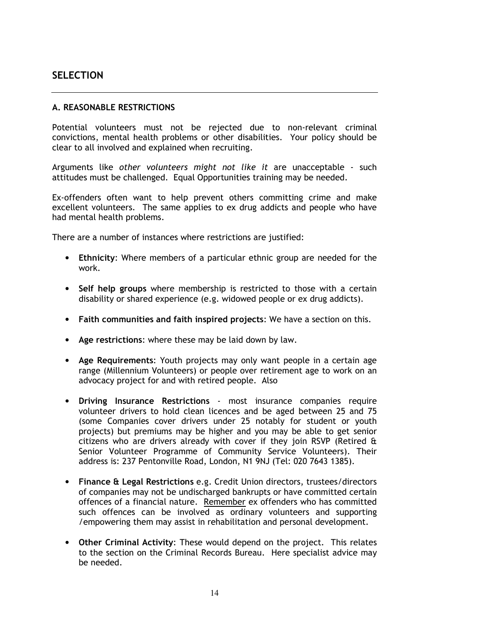# **SELECTION**

#### A. REASONABLE RESTRICTIONS

Potential volunteers must not be rejected due to non-relevant criminal convictions, mental health problems or other disabilities. Your policy should be clear to all involved and explained when recruiting.

Arguments like other volunteers might not like it are unacceptable - such attitudes must be challenged. Equal Opportunities training may be needed.

Ex-offenders often want to help prevent others committing crime and make excellent volunteers. The same applies to ex drug addicts and people who have had mental health problems.

There are a number of instances where restrictions are justified:

- Ethnicity: Where members of a particular ethnic group are needed for the work.
- Self help groups where membership is restricted to those with a certain disability or shared experience (e.g. widowed people or ex drug addicts).
- Faith communities and faith inspired projects: We have a section on this.
- Age restrictions: where these may be laid down by law.
- Age Requirements: Youth projects may only want people in a certain age range (Millennium Volunteers) or people over retirement age to work on an advocacy project for and with retired people. Also
- Driving Insurance Restrictions most insurance companies require volunteer drivers to hold clean licences and be aged between 25 and 75 (some Companies cover drivers under 25 notably for student or youth projects) but premiums may be higher and you may be able to get senior citizens who are drivers already with cover if they join RSVP (Retired & Senior Volunteer Programme of Community Service Volunteers). Their address is: 237 Pentonville Road, London, N1 9NJ (Tel: 020 7643 1385).
- Finance & Legal Restrictions e.g. Credit Union directors, trustees/directors of companies may not be undischarged bankrupts or have committed certain offences of a financial nature. Remember ex offenders who has committed such offences can be involved as ordinary volunteers and supporting /empowering them may assist in rehabilitation and personal development.
- Other Criminal Activity: These would depend on the project. This relates to the section on the Criminal Records Bureau. Here specialist advice may be needed.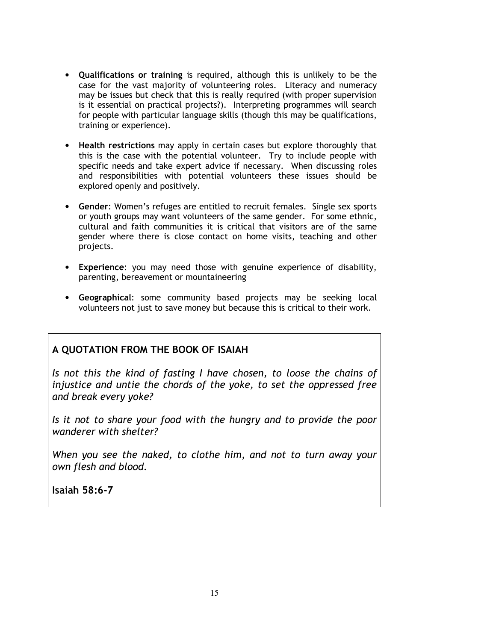- Qualifications or training is required, although this is unlikely to be the case for the vast majority of volunteering roles. Literacy and numeracy may be issues but check that this is really required (with proper supervision is it essential on practical projects?). Interpreting programmes will search for people with particular language skills (though this may be qualifications, training or experience).
- Health restrictions may apply in certain cases but explore thoroughly that this is the case with the potential volunteer. Try to include people with specific needs and take expert advice if necessary. When discussing roles and responsibilities with potential volunteers these issues should be explored openly and positively.
- Gender: Women's refuges are entitled to recruit females. Single sex sports or youth groups may want volunteers of the same gender. For some ethnic, cultural and faith communities it is critical that visitors are of the same gender where there is close contact on home visits, teaching and other projects.
- Experience: you may need those with genuine experience of disability, parenting, bereavement or mountaineering
- Geographical: some community based projects may be seeking local volunteers not just to save money but because this is critical to their work.

# A QUOTATION FROM THE BOOK OF ISAIAH

Is not this the kind of fasting I have chosen, to loose the chains of injustice and untie the chords of the yoke, to set the oppressed free and break every yoke?

Is it not to share your food with the hungry and to provide the poor wanderer with shelter?

When you see the naked, to clothe him, and not to turn away your own flesh and blood.

Isaiah 58:6-7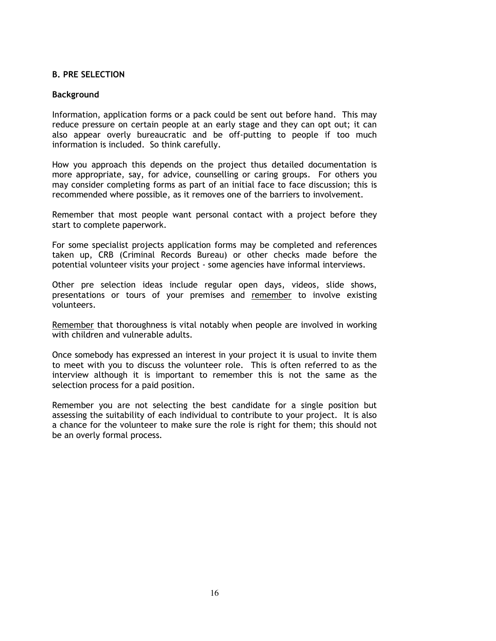#### B. PRE SELECTION

#### Background

Information, application forms or a pack could be sent out before hand. This may reduce pressure on certain people at an early stage and they can opt out; it can also appear overly bureaucratic and be off-putting to people if too much information is included. So think carefully.

How you approach this depends on the project thus detailed documentation is more appropriate, say, for advice, counselling or caring groups. For others you may consider completing forms as part of an initial face to face discussion; this is recommended where possible, as it removes one of the barriers to involvement.

Remember that most people want personal contact with a project before they start to complete paperwork.

For some specialist projects application forms may be completed and references taken up, CRB (Criminal Records Bureau) or other checks made before the potential volunteer visits your project - some agencies have informal interviews.

Other pre selection ideas include regular open days, videos, slide shows, presentations or tours of your premises and remember to involve existing volunteers.

Remember that thoroughness is vital notably when people are involved in working with children and vulnerable adults.

Once somebody has expressed an interest in your project it is usual to invite them to meet with you to discuss the volunteer role. This is often referred to as the interview although it is important to remember this is not the same as the selection process for a paid position.

Remember you are not selecting the best candidate for a single position but assessing the suitability of each individual to contribute to your project. It is also a chance for the volunteer to make sure the role is right for them; this should not be an overly formal process.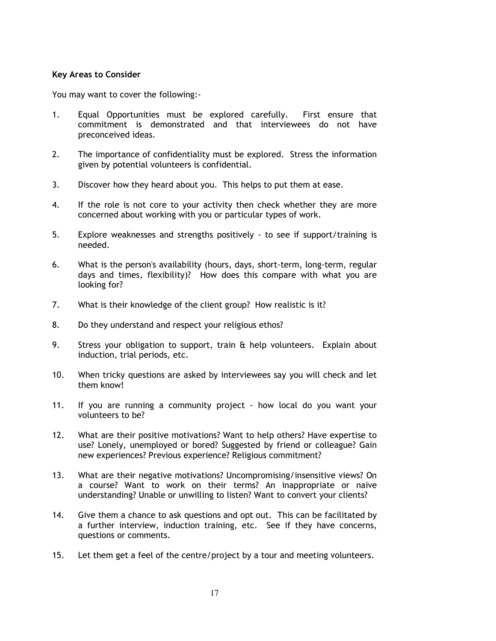#### Key Areas to Consider

You may want to cover the following:-

- 1. Equal Opportunities must be explored carefully. First ensure that commitment is demonstrated and that interviewees do not have preconceived ideas.
- 2. The importance of confidentiality must be explored. Stress the information given by potential volunteers is confidential.
- 3. Discover how they heard about you. This helps to put them at ease.
- 4. If the role is not core to your activity then check whether they are more concerned about working with you or particular types of work.
- 5. Explore weaknesses and strengths positively to see if support/training is needed.
- 6. What is the person's availability (hours, days, short-term, long-term, regular days and times, flexibility)? How does this compare with what you are looking for?
- 7. What is their knowledge of the client group? How realistic is it?
- 8. Do they understand and respect your religious ethos?
- 9. Stress your obligation to support, train & help volunteers. Explain about induction, trial periods, etc.
- 10. When tricky questions are asked by interviewees say you will check and let them know!
- 11. If you are running a community project how local do you want your volunteers to be?
- 12. What are their positive motivations? Want to help others? Have expertise to use? Lonely, unemployed or bored? Suggested by friend or colleague? Gain new experiences? Previous experience? Religious commitment?
- 13. What are their negative motivations? Uncompromising/insensitive views? On a course? Want to work on their terms? An inappropriate or naive understanding? Unable or unwilling to listen? Want to convert your clients?
- 14. Give them a chance to ask questions and opt out. This can be facilitated by a further interview, induction training, etc. See if they have concerns, questions or comments.
- 15. Let them get a feel of the centre/project by a tour and meeting volunteers.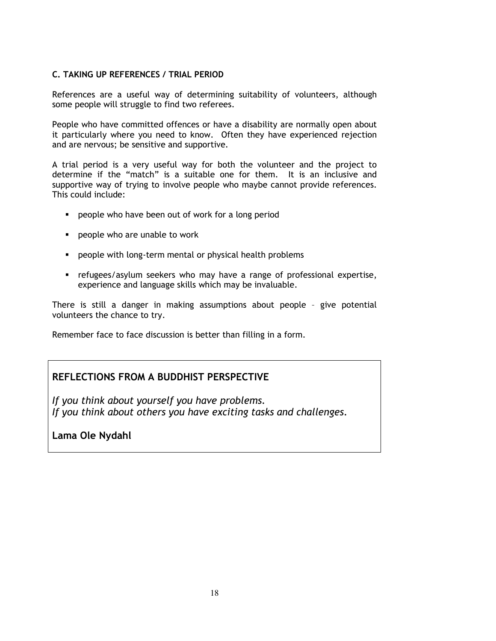#### C. TAKING UP REFERENCES / TRIAL PERIOD

References are a useful way of determining suitability of volunteers, although some people will struggle to find two referees.

People who have committed offences or have a disability are normally open about it particularly where you need to know. Often they have experienced rejection and are nervous; be sensitive and supportive.

A trial period is a very useful way for both the volunteer and the project to determine if the "match" is a suitable one for them. It is an inclusive and supportive way of trying to involve people who maybe cannot provide references. This could include:

- **People who have been out of work for a long period**
- **People who are unable to work**
- **People with long-term mental or physical health problems**
- refugees/asylum seekers who may have a range of professional expertise, experience and language skills which may be invaluable.

There is still a danger in making assumptions about people – give potential volunteers the chance to try.

Remember face to face discussion is better than filling in a form.

# REFLECTIONS FROM A BUDDHIST PERSPECTIVE

If you think about yourself you have problems. If you think about others you have exciting tasks and challenges.

Lama Ole Nydahl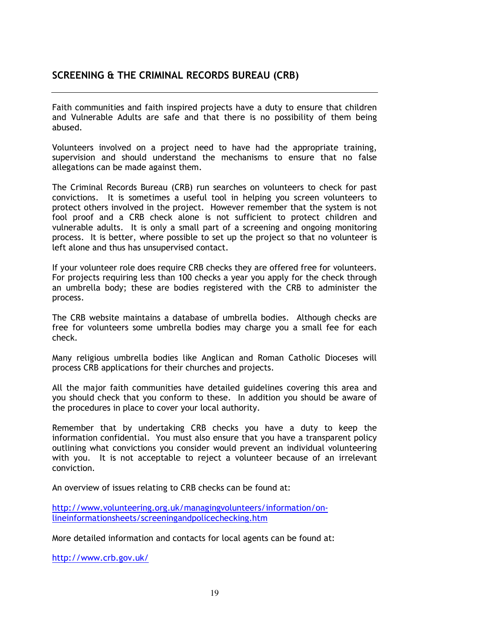# SCREENING & THE CRIMINAL RECORDS BUREAU (CRB)

Faith communities and faith inspired projects have a duty to ensure that children and Vulnerable Adults are safe and that there is no possibility of them being abused.

Volunteers involved on a project need to have had the appropriate training, supervision and should understand the mechanisms to ensure that no false allegations can be made against them.

The Criminal Records Bureau (CRB) run searches on volunteers to check for past convictions. It is sometimes a useful tool in helping you screen volunteers to protect others involved in the project. However remember that the system is not fool proof and a CRB check alone is not sufficient to protect children and vulnerable adults. It is only a small part of a screening and ongoing monitoring process. It is better, where possible to set up the project so that no volunteer is left alone and thus has unsupervised contact.

If your volunteer role does require CRB checks they are offered free for volunteers. For projects requiring less than 100 checks a year you apply for the check through an umbrella body; these are bodies registered with the CRB to administer the process.

The CRB website maintains a database of umbrella bodies. Although checks are free for volunteers some umbrella bodies may charge you a small fee for each check.

Many religious umbrella bodies like Anglican and Roman Catholic Dioceses will process CRB applications for their churches and projects.

All the major faith communities have detailed guidelines covering this area and you should check that you conform to these. In addition you should be aware of the procedures in place to cover your local authority.

Remember that by undertaking CRB checks you have a duty to keep the information confidential. You must also ensure that you have a transparent policy outlining what convictions you consider would prevent an individual volunteering with you. It is not acceptable to reject a volunteer because of an irrelevant conviction.

An overview of issues relating to CRB checks can be found at:

http://www.volunteering.org.uk/managingvolunteers/information/onlineinformationsheets/screeningandpolicechecking.htm

More detailed information and contacts for local agents can be found at:

http://www.crb.gov.uk/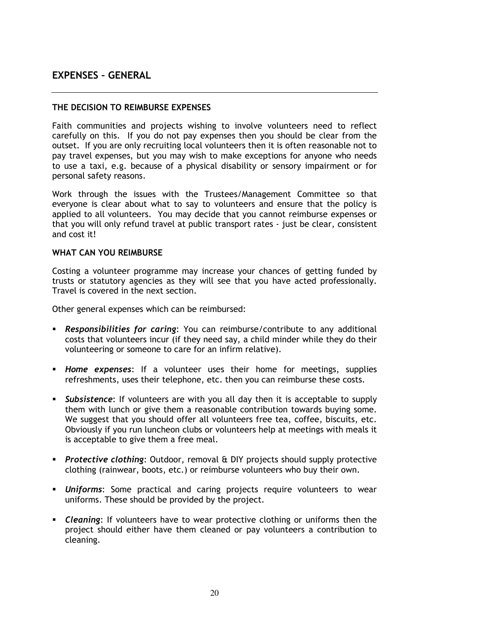# EXPENSES – GENERAL

#### THE DECISION TO REIMBURSE EXPENSES

Faith communities and projects wishing to involve volunteers need to reflect carefully on this. If you do not pay expenses then you should be clear from the outset. If you are only recruiting local volunteers then it is often reasonable not to pay travel expenses, but you may wish to make exceptions for anyone who needs to use a taxi, e.g. because of a physical disability or sensory impairment or for personal safety reasons.

Work through the issues with the Trustees/Management Committee so that everyone is clear about what to say to volunteers and ensure that the policy is applied to all volunteers. You may decide that you cannot reimburse expenses or that you will only refund travel at public transport rates - just be clear, consistent and cost it!

#### WHAT CAN YOU REIMBURSE

Costing a volunteer programme may increase your chances of getting funded by trusts or statutory agencies as they will see that you have acted professionally. Travel is covered in the next section.

Other general expenses which can be reimbursed:

- **Responsibilities for caring:** You can reimburse/contribute to any additional costs that volunteers incur (if they need say, a child minder while they do their volunteering or someone to care for an infirm relative).
- **Home expenses:** If a volunteer uses their home for meetings, supplies refreshments, uses their telephone, etc. then you can reimburse these costs.
- **Subsistence:** If volunteers are with you all day then it is acceptable to supply them with lunch or give them a reasonable contribution towards buying some. We suggest that you should offer all volunteers free tea, coffee, biscuits, etc. Obviously if you run luncheon clubs or volunteers help at meetings with meals it is acceptable to give them a free meal.
- Protective clothing: Outdoor, removal  $E$  DIY projects should supply protective clothing (rainwear, boots, etc.) or reimburse volunteers who buy their own.
- **Uniforms:** Some practical and caring projects require volunteers to wear uniforms. These should be provided by the project.
- Cleaning: If volunteers have to wear protective clothing or uniforms then the project should either have them cleaned or pay volunteers a contribution to cleaning.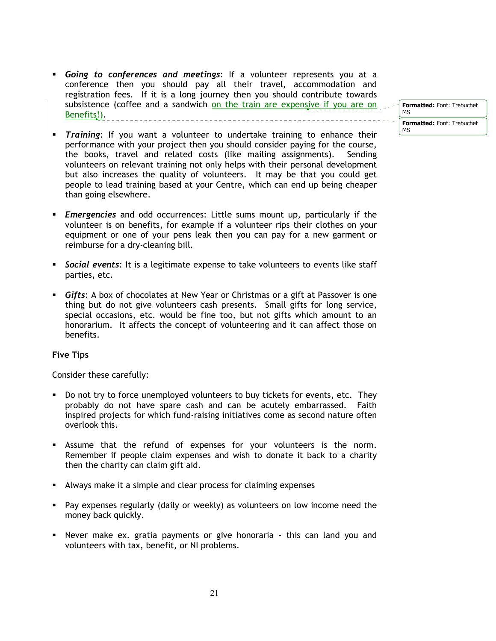- Going to conferences and meetings: If a volunteer represents you at a conference then you should pay all their travel, accommodation and registration fees. If it is a long journey then you should contribute towards subsistence (coffee and a sandwich on the train are expensive if you are on Benefits!). \_\_\_\_\_\_\_\_\_\_\_\_\_\_\_\_\_\_\_\_\_\_\_\_\_
	- Formatted: Font: Trebuchet MS Formatted: Font: Trebuchet MS
- Training: If you want a volunteer to undertake training to enhance their performance with your project then you should consider paying for the course, the books, travel and related costs (like mailing assignments). Sending volunteers on relevant training not only helps with their personal development but also increases the quality of volunteers. It may be that you could get people to lead training based at your Centre, which can end up being cheaper than going elsewhere.
- **Emergencies** and odd occurrences: Little sums mount up, particularly if the volunteer is on benefits, for example if a volunteer rips their clothes on your equipment or one of your pens leak then you can pay for a new garment or reimburse for a dry-cleaning bill.
- Social events: It is a legitimate expense to take volunteers to events like staff parties, etc.
- Gifts: A box of chocolates at New Year or Christmas or a gift at Passover is one thing but do not give volunteers cash presents. Small gifts for long service, special occasions, etc. would be fine too, but not gifts which amount to an honorarium. It affects the concept of volunteering and it can affect those on benefits.

#### Five Tips

Consider these carefully:

- Do not try to force unemployed volunteers to buy tickets for events, etc. They probably do not have spare cash and can be acutely embarrassed. Faith inspired projects for which fund-raising initiatives come as second nature often overlook this.
- Assume that the refund of expenses for your volunteers is the norm. Remember if people claim expenses and wish to donate it back to a charity then the charity can claim gift aid.
- Always make it a simple and clear process for claiming expenses
- Pay expenses regularly (daily or weekly) as volunteers on low income need the money back quickly.
- Never make ex. gratia payments or give honoraria this can land you and volunteers with tax, benefit, or NI problems.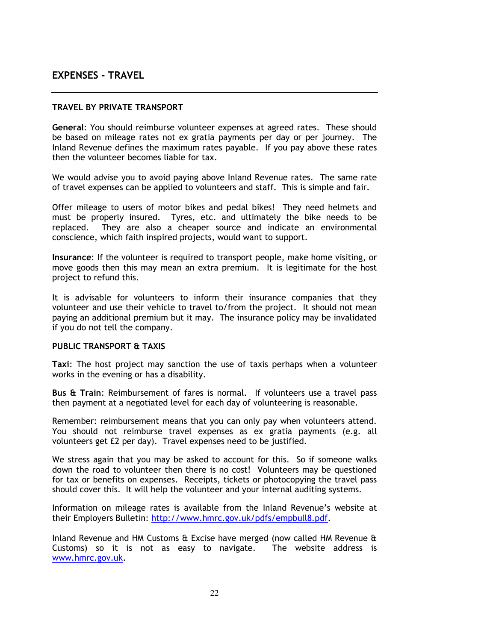# EXPENSES - TRAVEL

#### TRAVEL BY PRIVATE TRANSPORT

General: You should reimburse volunteer expenses at agreed rates. These should be based on mileage rates not ex gratia payments per day or per journey. The Inland Revenue defines the maximum rates payable. If you pay above these rates then the volunteer becomes liable for tax.

We would advise you to avoid paying above Inland Revenue rates. The same rate of travel expenses can be applied to volunteers and staff. This is simple and fair.

Offer mileage to users of motor bikes and pedal bikes! They need helmets and must be properly insured. Tyres, etc. and ultimately the bike needs to be replaced. They are also a cheaper source and indicate an environmental conscience, which faith inspired projects, would want to support.

Insurance: If the volunteer is required to transport people, make home visiting, or move goods then this may mean an extra premium. It is legitimate for the host project to refund this.

It is advisable for volunteers to inform their insurance companies that they volunteer and use their vehicle to travel to/from the project. It should not mean paying an additional premium but it may. The insurance policy may be invalidated if you do not tell the company.

#### PUBLIC TRANSPORT & TAXIS

Taxi: The host project may sanction the use of taxis perhaps when a volunteer works in the evening or has a disability.

Bus & Train: Reimbursement of fares is normal. If volunteers use a travel pass then payment at a negotiated level for each day of volunteering is reasonable.

Remember: reimbursement means that you can only pay when volunteers attend. You should not reimburse travel expenses as ex gratia payments (e.g. all volunteers get £2 per day). Travel expenses need to be justified.

We stress again that you may be asked to account for this. So if someone walks down the road to volunteer then there is no cost! Volunteers may be questioned for tax or benefits on expenses. Receipts, tickets or photocopying the travel pass should cover this. It will help the volunteer and your internal auditing systems.

Information on mileage rates is available from the Inland Revenue's website at their Employers Bulletin: http://www.hmrc.gov.uk/pdfs/empbull8.pdf.

Inland Revenue and HM Customs & Excise have merged (now called HM Revenue & Customs) so it is not as easy to navigate. The website address is www.hmrc.gov.uk.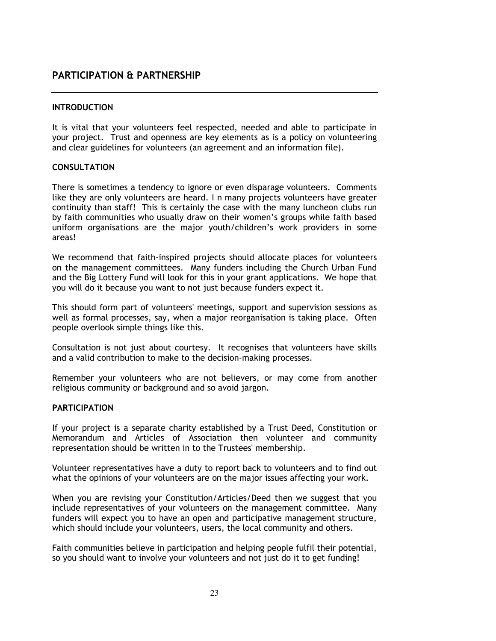# PARTICIPATION & PARTNERSHIP

#### **INTRODUCTION**

It is vital that your volunteers feel respected, needed and able to participate in your project. Trust and openness are key elements as is a policy on volunteering and clear guidelines for volunteers (an agreement and an information file).

#### CONSULTATION

There is sometimes a tendency to ignore or even disparage volunteers. Comments like they are only volunteers are heard. I n many projects volunteers have greater continuity than staff! This is certainly the case with the many luncheon clubs run by faith communities who usually draw on their women's groups while faith based uniform organisations are the major youth/children's work providers in some areas!

We recommend that faith-inspired projects should allocate places for volunteers on the management committees. Many funders including the Church Urban Fund and the Big Lottery Fund will look for this in your grant applications. We hope that you will do it because you want to not just because funders expect it.

This should form part of volunteers' meetings, support and supervision sessions as well as formal processes, say, when a major reorganisation is taking place. Often people overlook simple things like this.

Consultation is not just about courtesy. It recognises that volunteers have skills and a valid contribution to make to the decision-making processes.

Remember your volunteers who are not believers, or may come from another religious community or background and so avoid jargon.

#### **PARTICIPATION**

If your project is a separate charity established by a Trust Deed, Constitution or Memorandum and Articles of Association then volunteer and community representation should be written in to the Trustees' membership.

Volunteer representatives have a duty to report back to volunteers and to find out what the opinions of your volunteers are on the major issues affecting your work.

When you are revising your Constitution/Articles/Deed then we suggest that you include representatives of your volunteers on the management committee. Many funders will expect you to have an open and participative management structure, which should include your volunteers, users, the local community and others.

Faith communities believe in participation and helping people fulfil their potential, so you should want to involve your volunteers and not just do it to get funding!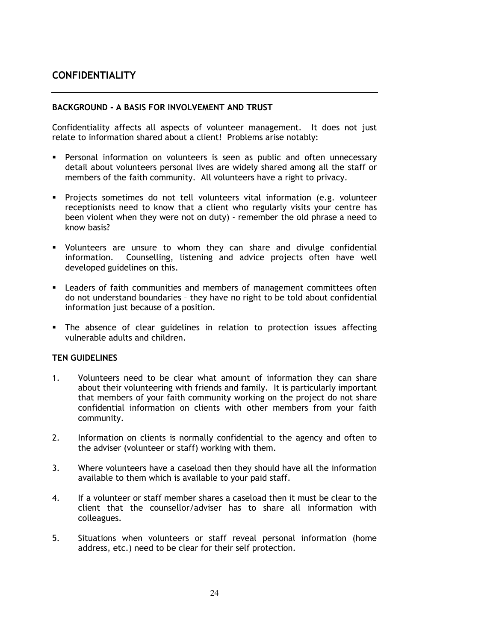# **CONFIDENTIALITY**

#### BACKGROUND - A BASIS FOR INVOLVEMENT AND TRUST

Confidentiality affects all aspects of volunteer management. It does not just relate to information shared about a client! Problems arise notably:

- Personal information on volunteers is seen as public and often unnecessary detail about volunteers personal lives are widely shared among all the staff or members of the faith community. All volunteers have a right to privacy.
- Projects sometimes do not tell volunteers vital information (e.g. volunteer receptionists need to know that a client who regularly visits your centre has been violent when they were not on duty) - remember the old phrase a need to know basis?
- Volunteers are unsure to whom they can share and divulge confidential information. Counselling, listening and advice projects often have well developed guidelines on this.
- Leaders of faith communities and members of management committees often do not understand boundaries – they have no right to be told about confidential information just because of a position.
- The absence of clear guidelines in relation to protection issues affecting vulnerable adults and children.

#### TEN GUIDELINES

- 1. Volunteers need to be clear what amount of information they can share about their volunteering with friends and family. It is particularly important that members of your faith community working on the project do not share confidential information on clients with other members from your faith community.
- 2. Information on clients is normally confidential to the agency and often to the adviser (volunteer or staff) working with them.
- 3. Where volunteers have a caseload then they should have all the information available to them which is available to your paid staff.
- 4. If a volunteer or staff member shares a caseload then it must be clear to the client that the counsellor/adviser has to share all information with colleagues.
- 5. Situations when volunteers or staff reveal personal information (home address, etc.) need to be clear for their self protection.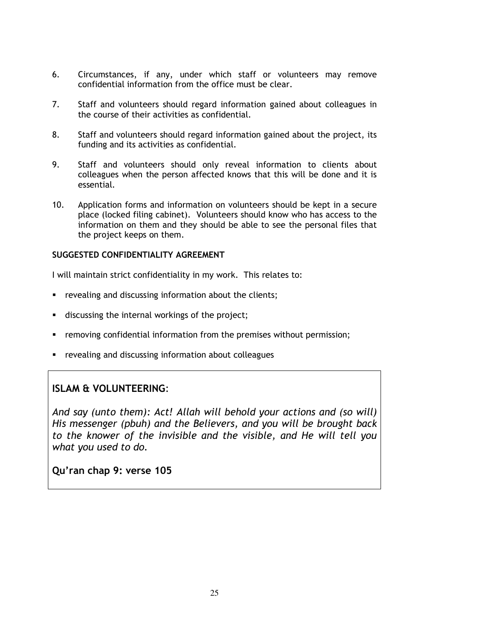- 6. Circumstances, if any, under which staff or volunteers may remove confidential information from the office must be clear.
- 7. Staff and volunteers should regard information gained about colleagues in the course of their activities as confidential.
- 8. Staff and volunteers should regard information gained about the project, its funding and its activities as confidential.
- 9. Staff and volunteers should only reveal information to clients about colleagues when the person affected knows that this will be done and it is essential.
- 10. Application forms and information on volunteers should be kept in a secure place (locked filing cabinet). Volunteers should know who has access to the information on them and they should be able to see the personal files that the project keeps on them.

#### SUGGESTED CONFIDENTIALITY AGREEMENT

I will maintain strict confidentiality in my work. This relates to:

- **•** revealing and discussing information about the clients;
- **discussing the internal workings of the project;**
- removing confidential information from the premises without permission;
- revealing and discussing information about colleagues

# ISLAM & VOLUNTEERING:

And say (unto them): Act! Allah will behold your actions and (so will) His messenger (pbuh) and the Believers, and you will be brought back to the knower of the invisible and the visible, and He will tell you what you used to do.

Qu'ran chap 9: verse 105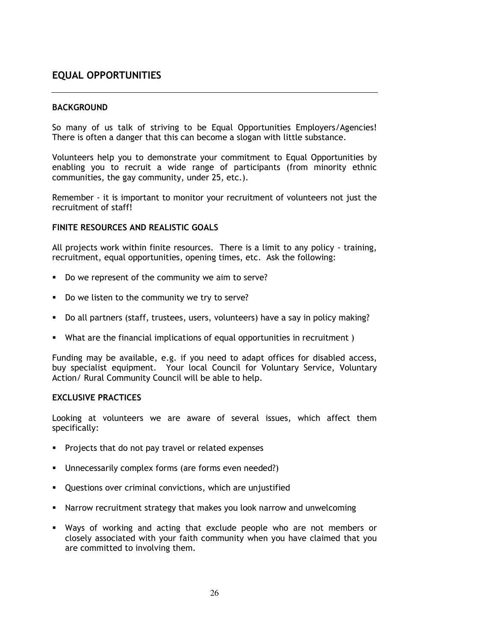# EQUAL OPPORTUNITIES

#### **BACKGROUND**

So many of us talk of striving to be Equal Opportunities Employers/Agencies! There is often a danger that this can become a slogan with little substance.

Volunteers help you to demonstrate your commitment to Equal Opportunities by enabling you to recruit a wide range of participants (from minority ethnic communities, the gay community, under 25, etc.).

Remember - it is important to monitor your recruitment of volunteers not just the recruitment of staff!

#### FINITE RESOURCES AND REALISTIC GOALS

All projects work within finite resources. There is a limit to any policy - training, recruitment, equal opportunities, opening times, etc. Ask the following:

- Do we represent of the community we aim to serve?
- Do we listen to the community we try to serve?
- Do all partners (staff, trustees, users, volunteers) have a say in policy making?
- What are the financial implications of equal opportunities in recruitment )

Funding may be available, e.g. if you need to adapt offices for disabled access, buy specialist equipment. Your local Council for Voluntary Service, Voluntary Action/ Rural Community Council will be able to help.

#### EXCLUSIVE PRACTICES

Looking at volunteers we are aware of several issues, which affect them specifically:

- Projects that do not pay travel or related expenses
- Unnecessarily complex forms (are forms even needed?)
- Questions over criminal convictions, which are unjustified
- Narrow recruitment strategy that makes you look narrow and unwelcoming
- Ways of working and acting that exclude people who are not members or closely associated with your faith community when you have claimed that you are committed to involving them.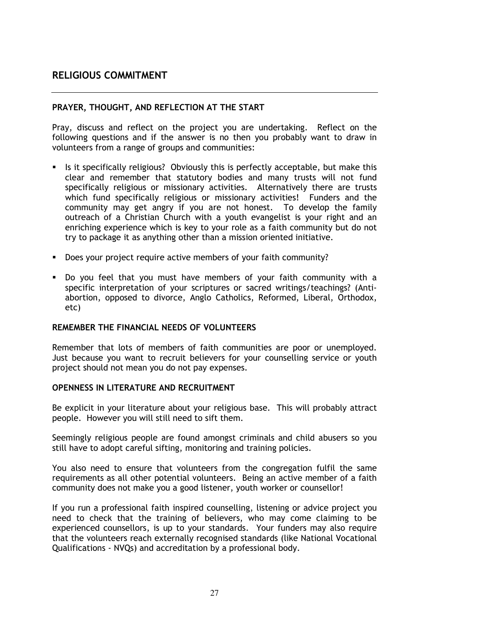## RELIGIOUS COMMITMENT

#### PRAYER, THOUGHT, AND REFLECTION AT THE START

Pray, discuss and reflect on the project you are undertaking. Reflect on the following questions and if the answer is no then you probably want to draw in volunteers from a range of groups and communities:

- Is it specifically religious? Obviously this is perfectly acceptable, but make this clear and remember that statutory bodies and many trusts will not fund specifically religious or missionary activities. Alternatively there are trusts which fund specifically religious or missionary activities! Funders and the community may get angry if you are not honest. To develop the family outreach of a Christian Church with a youth evangelist is your right and an enriching experience which is key to your role as a faith community but do not try to package it as anything other than a mission oriented initiative.
- Does your project require active members of your faith community?
- Do you feel that you must have members of your faith community with a specific interpretation of your scriptures or sacred writings/teachings? (Antiabortion, opposed to divorce, Anglo Catholics, Reformed, Liberal, Orthodox, etc)

#### REMEMBER THE FINANCIAL NEEDS OF VOLUNTEERS

Remember that lots of members of faith communities are poor or unemployed. Just because you want to recruit believers for your counselling service or youth project should not mean you do not pay expenses.

#### OPENNESS IN LITERATURE AND RECRUITMENT

Be explicit in your literature about your religious base. This will probably attract people. However you will still need to sift them.

Seemingly religious people are found amongst criminals and child abusers so you still have to adopt careful sifting, monitoring and training policies.

You also need to ensure that volunteers from the congregation fulfil the same requirements as all other potential volunteers. Being an active member of a faith community does not make you a good listener, youth worker or counsellor!

If you run a professional faith inspired counselling, listening or advice project you need to check that the training of believers, who may come claiming to be experienced counsellors, is up to your standards. Your funders may also require that the volunteers reach externally recognised standards (like National Vocational Qualifications - NVQs) and accreditation by a professional body.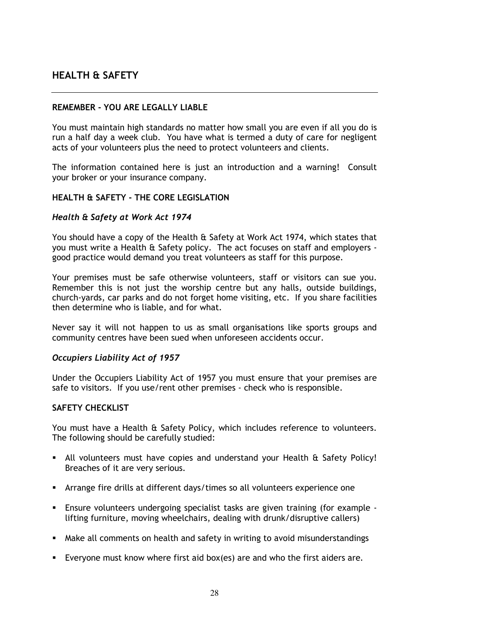# HEALTH & SAFETY

#### REMEMBER - YOU ARE LEGALLY LIABLE

You must maintain high standards no matter how small you are even if all you do is run a half day a week club. You have what is termed a duty of care for negligent acts of your volunteers plus the need to protect volunteers and clients.

The information contained here is just an introduction and a warning! Consult your broker or your insurance company.

#### HEALTH & SAFETY - THE CORE LEGISLATION

#### Health & Safety at Work Act 1974

You should have a copy of the Health & Safety at Work Act 1974, which states that you must write a Health & Safety policy. The act focuses on staff and employers good practice would demand you treat volunteers as staff for this purpose.

Your premises must be safe otherwise volunteers, staff or visitors can sue you. Remember this is not just the worship centre but any halls, outside buildings, church-yards, car parks and do not forget home visiting, etc. If you share facilities then determine who is liable, and for what.

Never say it will not happen to us as small organisations like sports groups and community centres have been sued when unforeseen accidents occur.

#### Occupiers Liability Act of 1957

Under the Occupiers Liability Act of 1957 you must ensure that your premises are safe to visitors. If you use/rent other premises - check who is responsible.

#### SAFETY CHECKLIST

You must have a Health & Safety Policy, which includes reference to volunteers. The following should be carefully studied:

- All volunteers must have copies and understand your Health & Safety Policy! Breaches of it are very serious.
- Arrange fire drills at different days/times so all volunteers experience one
- Ensure volunteers undergoing specialist tasks are given training (for example lifting furniture, moving wheelchairs, dealing with drunk/disruptive callers)
- Make all comments on health and safety in writing to avoid misunderstandings
- Everyone must know where first aid box(es) are and who the first aiders are.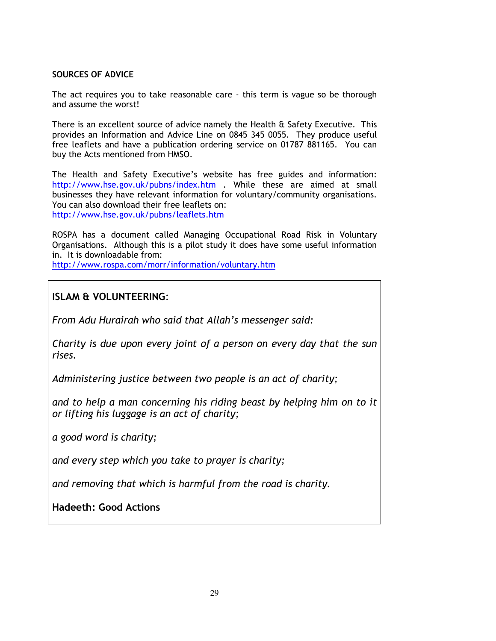#### SOURCES OF ADVICE

The act requires you to take reasonable care - this term is vague so be thorough and assume the worst!

There is an excellent source of advice namely the Health & Safety Executive. This provides an Information and Advice Line on 0845 345 0055. They produce useful free leaflets and have a publication ordering service on 01787 881165. You can buy the Acts mentioned from HMSO.

The Health and Safety Executive's website has free guides and information: http://www.hse.gov.uk/pubns/index.htm . While these are aimed at small businesses they have relevant information for voluntary/community organisations. You can also download their free leaflets on: http://www.hse.gov.uk/pubns/leaflets.htm

ROSPA has a document called Managing Occupational Road Risk in Voluntary Organisations. Although this is a pilot study it does have some useful information in. It is downloadable from:

http://www.rospa.com/morr/information/voluntary.htm

# ISLAM & VOLUNTEERING:

From Adu Hurairah who said that Allah's messenger said:

Charity is due upon every joint of a person on every day that the sun rises.

Administering justice between two people is an act of charity;

and to help a man concerning his riding beast by helping him on to it or lifting his luggage is an act of charity;

a good word is charity;

and every step which you take to prayer is charity;

and removing that which is harmful from the road is charity.

Hadeeth: Good Actions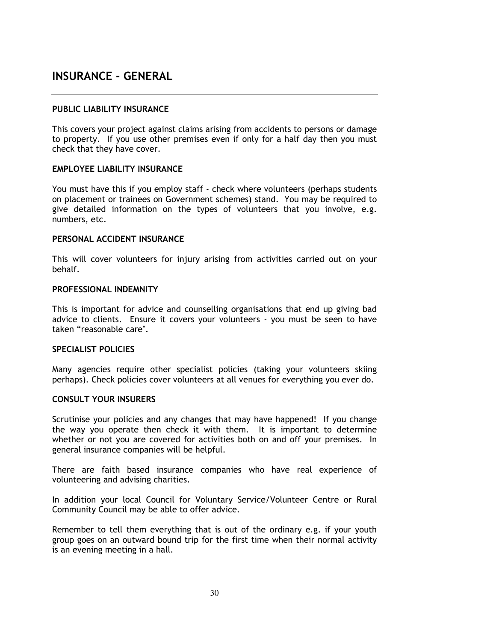# INSURANCE - GENERAL

#### PUBLIC LIABILITY INSURANCE

This covers your project against claims arising from accidents to persons or damage to property. If you use other premises even if only for a half day then you must check that they have cover.

#### EMPLOYEE LIABILITY INSURANCE

You must have this if you employ staff - check where volunteers (perhaps students on placement or trainees on Government schemes) stand. You may be required to give detailed information on the types of volunteers that you involve, e.g. numbers, etc.

#### PERSONAL ACCIDENT INSURANCE

This will cover volunteers for injury arising from activities carried out on your behalf.

#### PROFESSIONAL INDEMNITY

This is important for advice and counselling organisations that end up giving bad advice to clients. Ensure it covers your volunteers - you must be seen to have taken "reasonable care".

#### SPECIALIST POLICIES

Many agencies require other specialist policies (taking your volunteers skiing perhaps). Check policies cover volunteers at all venues for everything you ever do.

#### CONSULT YOUR INSURERS

Scrutinise your policies and any changes that may have happened! If you change the way you operate then check it with them. It is important to determine whether or not you are covered for activities both on and off your premises. In general insurance companies will be helpful.

There are faith based insurance companies who have real experience of volunteering and advising charities.

In addition your local Council for Voluntary Service/Volunteer Centre or Rural Community Council may be able to offer advice.

Remember to tell them everything that is out of the ordinary e.g. if your youth group goes on an outward bound trip for the first time when their normal activity is an evening meeting in a hall.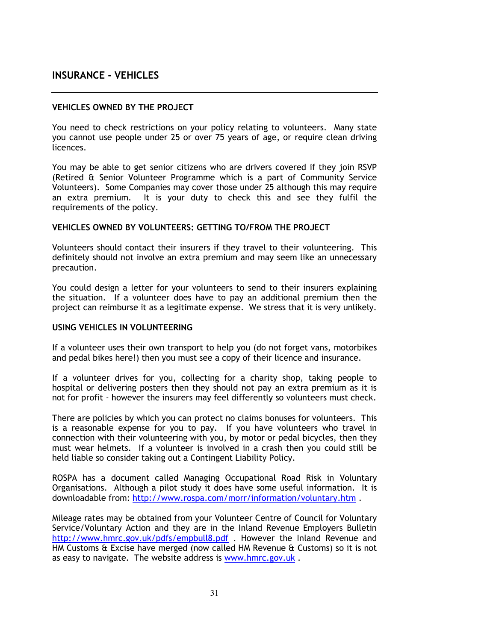# INSURANCE - VEHICLES

#### VEHICLES OWNED BY THE PROJECT

You need to check restrictions on your policy relating to volunteers. Many state you cannot use people under 25 or over 75 years of age, or require clean driving licences.

You may be able to get senior citizens who are drivers covered if they join RSVP (Retired & Senior Volunteer Programme which is a part of Community Service Volunteers). Some Companies may cover those under 25 although this may require an extra premium. It is your duty to check this and see they fulfil the requirements of the policy.

#### VEHICLES OWNED BY VOLUNTEERS: GETTING TO/FROM THE PROJECT

Volunteers should contact their insurers if they travel to their volunteering. This definitely should not involve an extra premium and may seem like an unnecessary precaution.

You could design a letter for your volunteers to send to their insurers explaining the situation. If a volunteer does have to pay an additional premium then the project can reimburse it as a legitimate expense. We stress that it is very unlikely.

#### USING VEHICLES IN VOLUNTEERING

If a volunteer uses their own transport to help you (do not forget vans, motorbikes and pedal bikes here!) then you must see a copy of their licence and insurance.

If a volunteer drives for you, collecting for a charity shop, taking people to hospital or delivering posters then they should not pay an extra premium as it is not for profit - however the insurers may feel differently so volunteers must check.

There are policies by which you can protect no claims bonuses for volunteers. This is a reasonable expense for you to pay. If you have volunteers who travel in connection with their volunteering with you, by motor or pedal bicycles, then they must wear helmets. If a volunteer is involved in a crash then you could still be held liable so consider taking out a Contingent Liability Policy.

ROSPA has a document called Managing Occupational Road Risk in Voluntary Organisations. Although a pilot study it does have some useful information. It is downloadable from: http://www.rospa.com/morr/information/voluntary.htm .

Mileage rates may be obtained from your Volunteer Centre of Council for Voluntary Service/Voluntary Action and they are in the Inland Revenue Employers Bulletin http://www.hmrc.gov.uk/pdfs/empbull8.pdf . However the Inland Revenue and HM Customs & Excise have merged (now called HM Revenue & Customs) so it is not as easy to navigate. The website address is www.hmrc.gov.uk .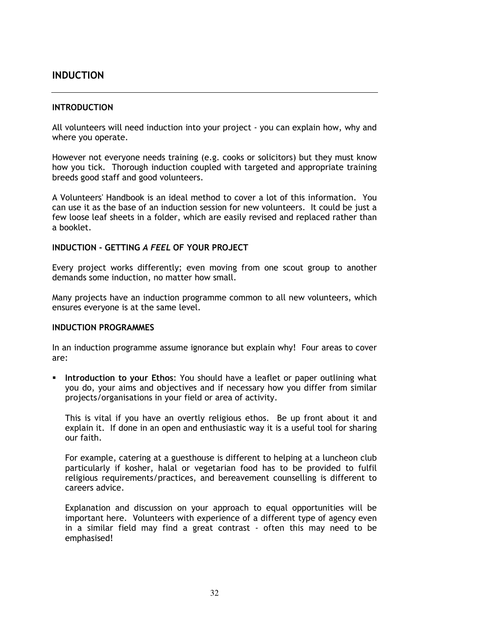## INDUCTION

#### INTRODUCTION

All volunteers will need induction into your project - you can explain how, why and where you operate.

However not everyone needs training (e.g. cooks or solicitors) but they must know how you tick. Thorough induction coupled with targeted and appropriate training breeds good staff and good volunteers.

A Volunteers' Handbook is an ideal method to cover a lot of this information. You can use it as the base of an induction session for new volunteers. It could be just a few loose leaf sheets in a folder, which are easily revised and replaced rather than a booklet.

#### INDUCTION - GETTING A FEEL OF YOUR PROJECT

Every project works differently; even moving from one scout group to another demands some induction, no matter how small.

Many projects have an induction programme common to all new volunteers, which ensures everyone is at the same level.

#### INDUCTION PROGRAMMES

In an induction programme assume ignorance but explain why! Four areas to cover are:

**Introduction to your Ethos:** You should have a leaflet or paper outlining what you do, your aims and objectives and if necessary how you differ from similar projects/organisations in your field or area of activity.

This is vital if you have an overtly religious ethos. Be up front about it and explain it. If done in an open and enthusiastic way it is a useful tool for sharing our faith.

For example, catering at a guesthouse is different to helping at a luncheon club particularly if kosher, halal or vegetarian food has to be provided to fulfil religious requirements/practices, and bereavement counselling is different to careers advice.

Explanation and discussion on your approach to equal opportunities will be important here. Volunteers with experience of a different type of agency even in a similar field may find a great contrast - often this may need to be emphasised!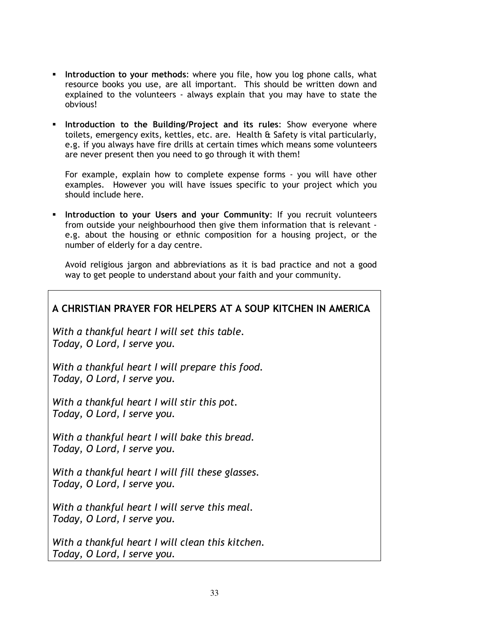- Introduction to your methods: where you file, how you log phone calls, what resource books you use, are all important. This should be written down and explained to the volunteers - always explain that you may have to state the obvious!
- **Introduction to the Building/Project and its rules: Show everyone where** toilets, emergency exits, kettles, etc. are. Health & Safety is vital particularly, e.g. if you always have fire drills at certain times which means some volunteers are never present then you need to go through it with them!

For example, explain how to complete expense forms - you will have other examples. However you will have issues specific to your project which you should include here.

**Introduction to your Users and your Community:** If you recruit volunteers from outside your neighbourhood then give them information that is relevant e.g. about the housing or ethnic composition for a housing project, or the number of elderly for a day centre.

Avoid religious jargon and abbreviations as it is bad practice and not a good way to get people to understand about your faith and your community.

# A CHRISTIAN PRAYER FOR HELPERS AT A SOUP KITCHEN IN AMERICA With a thankful heart I will set this table. Today, O Lord, I serve you. With a thankful heart I will prepare this food. Today, O Lord, I serve you. With a thankful heart I will stir this pot. Today, O Lord, I serve you. With a thankful heart I will bake this bread. Today, O Lord, I serve you. With a thankful heart I will fill these glasses. Today, O Lord, I serve you. With a thankful heart I will serve this meal. Today, O Lord, I serve you. With a thankful heart I will clean this kitchen.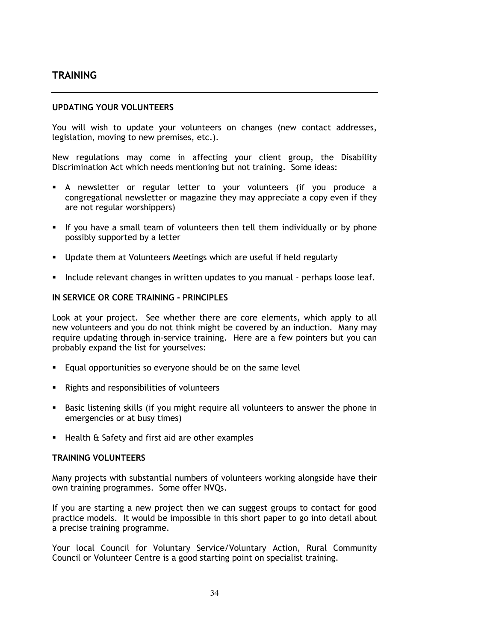# **TRAINING**

#### UPDATING YOUR VOLUNTEERS

You will wish to update your volunteers on changes (new contact addresses, legislation, moving to new premises, etc.).

New regulations may come in affecting your client group, the Disability Discrimination Act which needs mentioning but not training. Some ideas:

- A newsletter or regular letter to your volunteers (if you produce a congregational newsletter or magazine they may appreciate a copy even if they are not regular worshippers)
- If you have a small team of volunteers then tell them individually or by phone possibly supported by a letter
- Update them at Volunteers Meetings which are useful if held regularly
- Include relevant changes in written updates to you manual perhaps loose leaf.

#### IN SERVICE OR CORE TRAINING - PRINCIPLES

Look at your project. See whether there are core elements, which apply to all new volunteers and you do not think might be covered by an induction. Many may require updating through in-service training. Here are a few pointers but you can probably expand the list for yourselves:

- Equal opportunities so everyone should be on the same level
- Rights and responsibilities of volunteers
- Basic listening skills (if you might require all volunteers to answer the phone in emergencies or at busy times)
- Health & Safety and first aid are other examples

#### TRAINING VOLUNTEERS

Many projects with substantial numbers of volunteers working alongside have their own training programmes. Some offer NVQs.

If you are starting a new project then we can suggest groups to contact for good practice models. It would be impossible in this short paper to go into detail about a precise training programme.

Your local Council for Voluntary Service/Voluntary Action, Rural Community Council or Volunteer Centre is a good starting point on specialist training.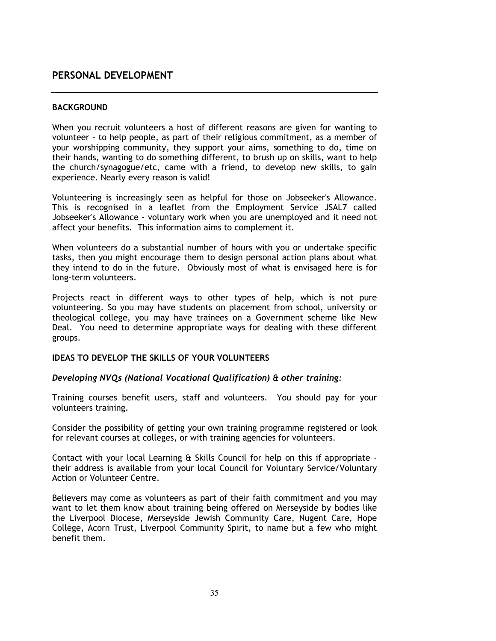# PERSONAL DEVELOPMENT

#### **BACKGROUND**

When you recruit volunteers a host of different reasons are given for wanting to volunteer - to help people, as part of their religious commitment, as a member of your worshipping community, they support your aims, something to do, time on their hands, wanting to do something different, to brush up on skills, want to help the church/synagogue/etc, came with a friend, to develop new skills, to gain experience. Nearly every reason is valid!

Volunteering is increasingly seen as helpful for those on Jobseeker's Allowance. This is recognised in a leaflet from the Employment Service JSAL7 called Jobseeker's Allowance - voluntary work when you are unemployed and it need not affect your benefits. This information aims to complement it.

When volunteers do a substantial number of hours with you or undertake specific tasks, then you might encourage them to design personal action plans about what they intend to do in the future. Obviously most of what is envisaged here is for long-term volunteers.

Projects react in different ways to other types of help, which is not pure volunteering. So you may have students on placement from school, university or theological college, you may have trainees on a Government scheme like New Deal. You need to determine appropriate ways for dealing with these different groups.

#### IDEAS TO DEVELOP THE SKILLS OF YOUR VOLUNTEERS

#### Developing NVQs (National Vocational Qualification) & other training:

Training courses benefit users, staff and volunteers. You should pay for your volunteers training.

Consider the possibility of getting your own training programme registered or look for relevant courses at colleges, or with training agencies for volunteers.

Contact with your local Learning & Skills Council for help on this if appropriate their address is available from your local Council for Voluntary Service/Voluntary Action or Volunteer Centre.

Believers may come as volunteers as part of their faith commitment and you may want to let them know about training being offered on Merseyside by bodies like the Liverpool Diocese, Merseyside Jewish Community Care, Nugent Care, Hope College, Acorn Trust, Liverpool Community Spirit, to name but a few who might benefit them.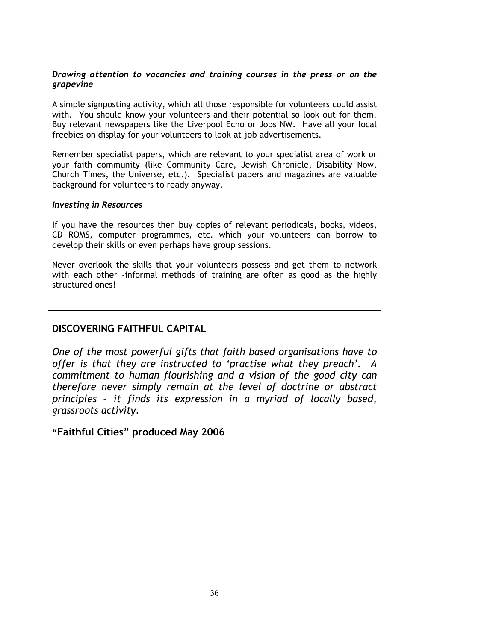#### Drawing attention to vacancies and training courses in the press or on the grapevine

A simple signposting activity, which all those responsible for volunteers could assist with. You should know your volunteers and their potential so look out for them. Buy relevant newspapers like the Liverpool Echo or Jobs NW. Have all your local freebies on display for your volunteers to look at job advertisements.

Remember specialist papers, which are relevant to your specialist area of work or your faith community (like Community Care, Jewish Chronicle, Disability Now, Church Times, the Universe, etc.). Specialist papers and magazines are valuable background for volunteers to ready anyway.

#### Investing in Resources

If you have the resources then buy copies of relevant periodicals, books, videos, CD ROMS, computer programmes, etc. which your volunteers can borrow to develop their skills or even perhaps have group sessions.

Never overlook the skills that your volunteers possess and get them to network with each other -informal methods of training are often as good as the highly structured ones!

# DISCOVERING FAITHFUL CAPITAL

One of the most powerful gifts that faith based organisations have to offer is that they are instructed to 'practise what they preach'. A commitment to human flourishing and a vision of the good city can therefore never simply remain at the level of doctrine or abstract principles – it finds its expression in a myriad of locally based, grassroots activity.

"Faithful Cities" produced May 2006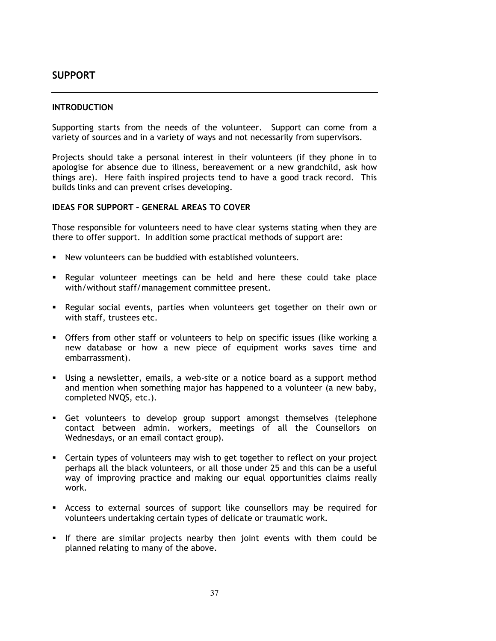# SUPPORT

#### **INTRODUCTION**

Supporting starts from the needs of the volunteer. Support can come from a variety of sources and in a variety of ways and not necessarily from supervisors.

Projects should take a personal interest in their volunteers (if they phone in to apologise for absence due to illness, bereavement or a new grandchild, ask how things are). Here faith inspired projects tend to have a good track record. This builds links and can prevent crises developing.

#### IDEAS FOR SUPPORT – GENERAL AREAS TO COVER

Those responsible for volunteers need to have clear systems stating when they are there to offer support. In addition some practical methods of support are:

- New volunteers can be buddied with established volunteers.
- Regular volunteer meetings can be held and here these could take place with/without staff/management committee present.
- **Regular social events, parties when volunteers get together on their own or** with staff, trustees etc.
- Offers from other staff or volunteers to help on specific issues (like working a new database or how a new piece of equipment works saves time and embarrassment).
- Using a newsletter, emails, a web-site or a notice board as a support method and mention when something major has happened to a volunteer (a new baby, completed NVQS, etc.).
- Get volunteers to develop group support amongst themselves (telephone contact between admin. workers, meetings of all the Counsellors on Wednesdays, or an email contact group).
- Certain types of volunteers may wish to get together to reflect on your project perhaps all the black volunteers, or all those under 25 and this can be a useful way of improving practice and making our equal opportunities claims really work.
- Access to external sources of support like counsellors may be required for volunteers undertaking certain types of delicate or traumatic work.
- If there are similar projects nearby then joint events with them could be planned relating to many of the above.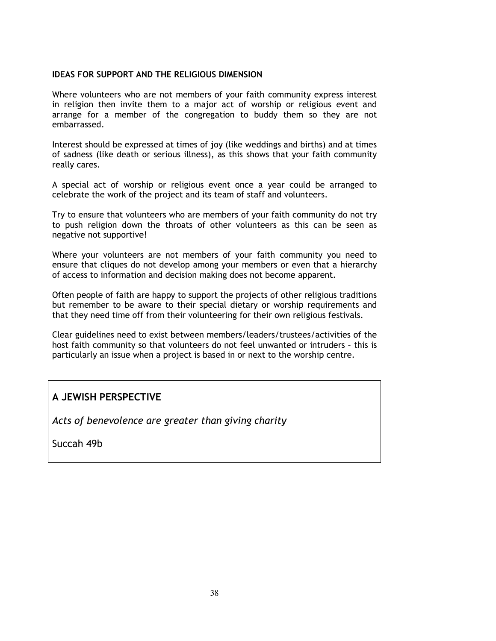#### IDEAS FOR SUPPORT AND THE RELIGIOUS DIMENSION

Where volunteers who are not members of your faith community express interest in religion then invite them to a major act of worship or religious event and arrange for a member of the congregation to buddy them so they are not embarrassed.

Interest should be expressed at times of joy (like weddings and births) and at times of sadness (like death or serious illness), as this shows that your faith community really cares.

A special act of worship or religious event once a year could be arranged to celebrate the work of the project and its team of staff and volunteers.

Try to ensure that volunteers who are members of your faith community do not try to push religion down the throats of other volunteers as this can be seen as negative not supportive!

Where your volunteers are not members of your faith community you need to ensure that cliques do not develop among your members or even that a hierarchy of access to information and decision making does not become apparent.

Often people of faith are happy to support the projects of other religious traditions but remember to be aware to their special dietary or worship requirements and that they need time off from their volunteering for their own religious festivals.

Clear guidelines need to exist between members/leaders/trustees/activities of the host faith community so that volunteers do not feel unwanted or intruders – this is particularly an issue when a project is based in or next to the worship centre.

# A JEWISH PERSPECTIVE

Acts of benevolence are greater than giving charity

Succah 49b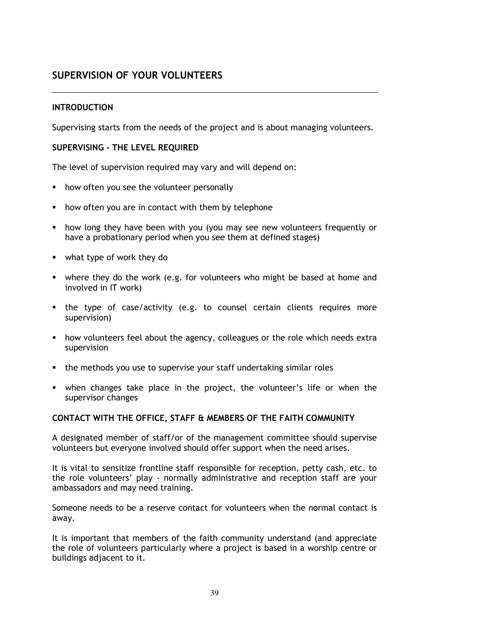# SUPERVISION OF YOUR VOLUNTEERS

### **INTRODUCTION**

Supervising starts from the needs of the project and is about managing volunteers.

#### SUPERVISING - THE LEVEL REQUIRED

The level of supervision required may vary and will depend on:

- how often you see the volunteer personally
- how often you are in contact with them by telephone
- how long they have been with you (you may see new volunteers frequently or have a probationary period when you see them at defined stages)
- what type of work they do
- where they do the work (e.g. for volunteers who might be based at home and involved in IT work)
- the type of case/activity (e.g. to counsel certain clients requires more supervision)
- how volunteers feel about the agency, colleagues or the role which needs extra supervision
- the methods you use to supervise your staff undertaking similar roles
- when changes take place in the project, the volunteer's life or when the supervisor changes

#### CONTACT WITH THE OFFICE, STAFF & MEMBERS OF THE FAITH COMMUNITY

A designated member of staff/or of the management committee should supervise volunteers but everyone involved should offer support when the need arises.

It is vital to sensitize frontline staff responsible for reception, petty cash, etc. to the role volunteers' play - normally administrative and reception staff are your ambassadors and may need training.

Someone needs to be a reserve contact for volunteers when the normal contact is away.

It is important that members of the faith community understand (and appreciate the role of volunteers particularly where a project is based in a worship centre or buildings adjacent to it.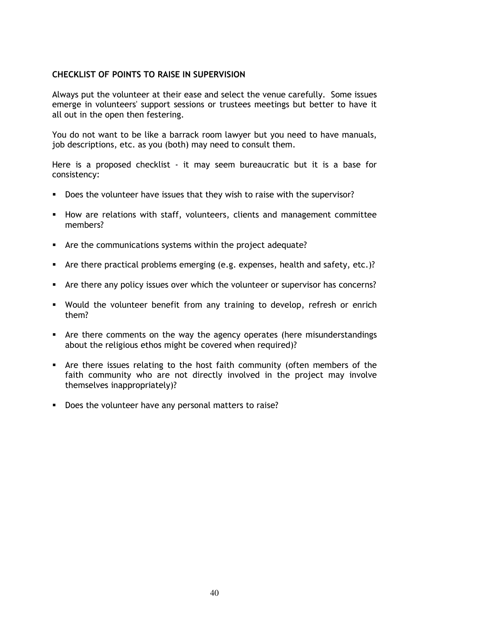#### CHECKLIST OF POINTS TO RAISE IN SUPERVISION

Always put the volunteer at their ease and select the venue carefully. Some issues emerge in volunteers' support sessions or trustees meetings but better to have it all out in the open then festering.

You do not want to be like a barrack room lawyer but you need to have manuals, job descriptions, etc. as you (both) may need to consult them.

Here is a proposed checklist - it may seem bureaucratic but it is a base for consistency:

- Does the volunteer have issues that they wish to raise with the supervisor?
- **How are relations with staff, volunteers, clients and management committee** members?
- Are the communications systems within the project adequate?
- Are there practical problems emerging (e.g. expenses, health and safety, etc.)?
- Are there any policy issues over which the volunteer or supervisor has concerns?
- Would the volunteer benefit from any training to develop, refresh or enrich them?
- Are there comments on the way the agency operates (here misunderstandings about the religious ethos might be covered when required)?
- Are there issues relating to the host faith community (often members of the faith community who are not directly involved in the project may involve themselves inappropriately)?
- Does the volunteer have any personal matters to raise?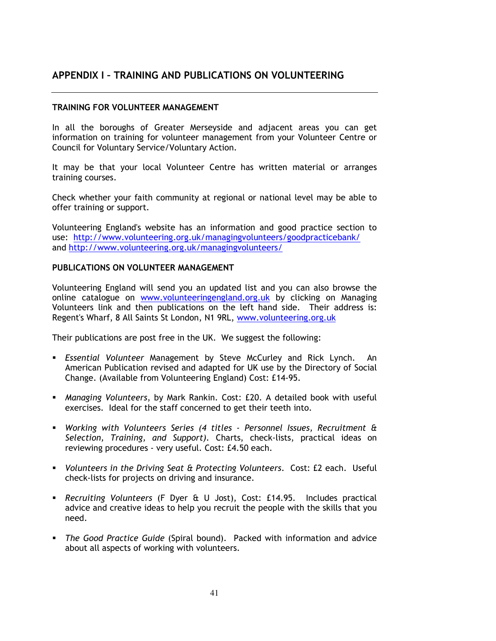# APPENDIX I – TRAINING AND PUBLICATIONS ON VOLUNTEERING

#### TRAINING FOR VOLUNTEER MANAGEMENT

In all the boroughs of Greater Merseyside and adjacent areas you can get information on training for volunteer management from your Volunteer Centre or Council for Voluntary Service/Voluntary Action.

It may be that your local Volunteer Centre has written material or arranges training courses.

Check whether your faith community at regional or national level may be able to offer training or support.

Volunteering England's website has an information and good practice section to use: http://www.volunteering.org.uk/managingvolunteers/goodpracticebank/ and http://www.volunteering.org.uk/managingvolunteers/

#### PUBLICATIONS ON VOLUNTEER MANAGEMENT

Volunteering England will send you an updated list and you can also browse the online catalogue on www.volunteeringengland.org.uk by clicking on Managing Volunteers link and then publications on the left hand side. Their address is: Regent's Wharf, 8 All Saints St London, N1 9RL, www.volunteering.org.uk

Their publications are post free in the UK. We suggest the following:

- **E** Essential Volunteer Management by Steve McCurley and Rick Lynch. An American Publication revised and adapted for UK use by the Directory of Social Change. (Available from Volunteering England) Cost: £14-95.
- Managing Volunteers, by Mark Rankin. Cost: £20. A detailed book with useful exercises. Ideal for the staff concerned to get their teeth into.
- Working with Volunteers Series (4 titles Personnel Issues, Recruitment & Selection, Training, and Support). Charts, check-lists, practical ideas on reviewing procedures - very useful. Cost: £4.50 each.
- Volunteers in the Driving Seat & Protecting Volunteers. Cost: £2 each. Useful check-lists for projects on driving and insurance.
- Recruiting Volunteers (F Dyer & U Jost), Cost: £14.95. Includes practical advice and creative ideas to help you recruit the people with the skills that you need.
- **The Good Practice Guide (Spiral bound). Packed with information and advice** about all aspects of working with volunteers.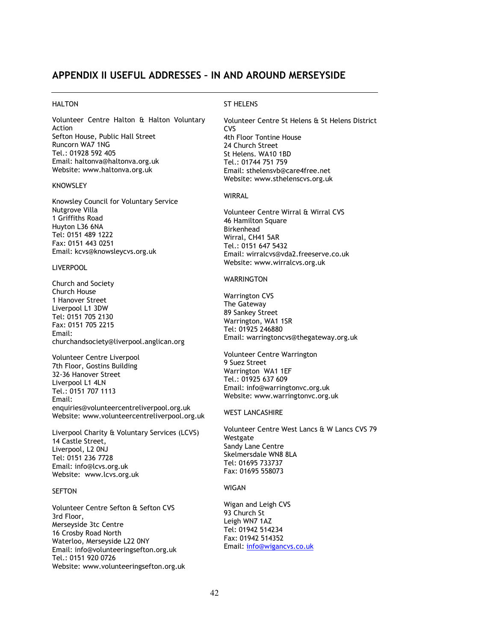#### APPENDIX II USEFUL ADDRESSES – IN AND AROUND MERSEYSIDE

#### **HALTON**

Volunteer Centre Halton & Halton Voluntary Action Sefton House, Public Hall Street Runcorn WA7 1NG Tel.: 01928 592 405 Email: haltonva@haltonva.org.uk Website: www.haltonva.org.uk

#### KNOWSLEY

Knowsley Council for Voluntary Service Nutgrove Villa 1 Griffiths Road Huyton L36 6NA Tel: 0151 489 1222 Fax: 0151 443 0251 Email: kcvs@knowsleycvs.org.uk

#### LIVERPOOL

Church and Society Church House 1 Hanover Street Liverpool L1 3DW Tel: 0151 705 2130 Fax: 0151 705 2215 Email: churchandsociety@liverpool.anglican.org

Volunteer Centre Liverpool 7th Floor, Gostins Building 32-36 Hanover Street Liverpool L1 4LN Tel.: 0151 707 1113 Email: enquiries@volunteercentreliverpool.org.uk Website: www.volunteercentreliverpool.org.uk

Liverpool Charity & Voluntary Services (LCVS) 14 Castle Street, Liverpool, L2 0NJ Tel: 0151 236 7728 Email: info@lcvs.org.uk Website: www.lcvs.org.uk

#### **SEFTON**

Volunteer Centre Sefton & Sefton CVS 3rd Floor, Merseyside 3tc Centre 16 Crosby Road North Waterloo, Merseyside L22 0NY Email: info@volunteeringsefton.org.uk Tel.: 0151 920 0726 Website: www.volunteeringsefton.org.uk

#### ST HELENS

Volunteer Centre St Helens & St Helens District CVS 4th Floor Tontine House 24 Church Street St Helens. WA10 1BD Tel.: 01744 751 759 Email: sthelensvb@care4free.net Website: www.sthelenscvs.org.uk

#### WIRRAL

Volunteer Centre Wirral & Wirral CVS 46 Hamilton Square Birkenhead Wirral, CH41 5AR Tel.: 0151 647 5432 Email: wirralcvs@vda2.freeserve.co.uk Website: www.wirralcvs.org.uk

#### **WARRINGTON**

Warrington CVS The Gateway 89 Sankey Street Warrington, WA1 1SR Tel: 01925 246880 Email: warringtoncvs@thegateway.org.uk

Volunteer Centre Warrington 9 Suez Street Warrington WA1 1EF Tel.: 01925 637 609 Email: info@warringtonvc.org.uk Website: www.warringtonvc.org.uk

#### WEST LANCASHIRE

Volunteer Centre West Lancs & W Lancs CVS 79 Westgate Sandy Lane Centre Skelmersdale WN8 8LA Tel: 01695 733737 Fax: 01695 558073

#### WIGAN

Wigan and Leigh CVS 93 Church St Leigh WN7 1AZ Tel: 01942 514234 Fax: 01942 514352 Email: info@wigancvs.co.uk